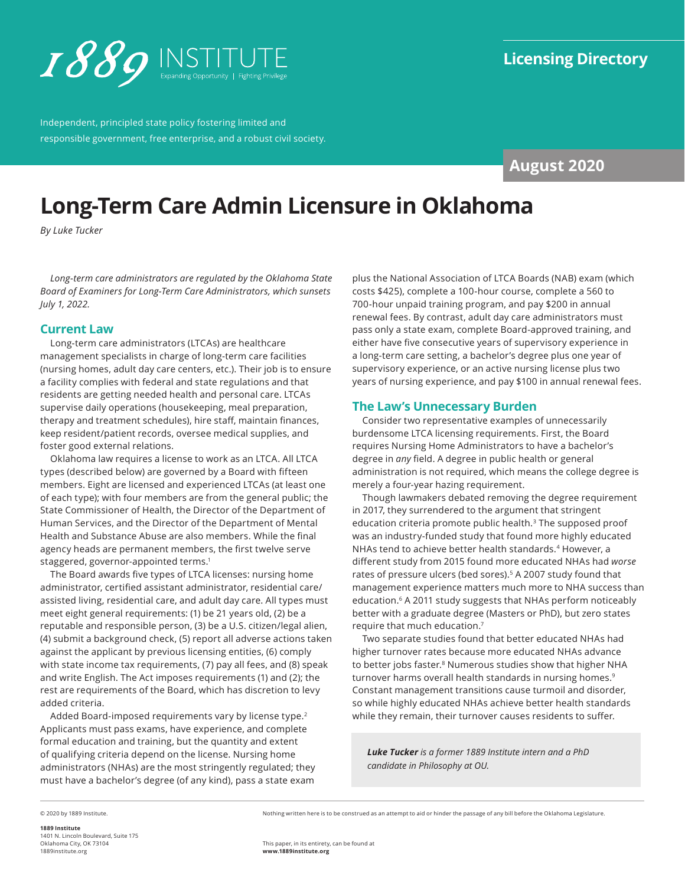<span id="page-0-0"></span>

Independent, principled state policy fostering limited and responsible government, free enterprise, and a robust civil society.

# **August 2020**

# **Long-Term Care Admin Licensure in Oklahoma**

*By Luke Tucker*

*Long-term care administrators are regulated by the Oklahoma State Board of Examiners for Long-Term Care Administrators, which sunsets July 1, 2022.*

## **Current Law**

Long-term care administrators (LTCAs) are healthcare management specialists in charge of long-term care facilities (nursing homes, adult day care centers, etc.). Their job is to ensure a facility complies with federal and state regulations and that residents are getting needed health and personal care. LTCAs supervise daily operations (housekeeping, meal preparation, therapy and treatment schedules), hire staff, maintain finances, keep resident/patient records, oversee medical supplies, and foster good external relations.

Oklahoma law requires a license to work as an LTCA. All LTCA types (described below) are governed by a Board with fifteen members. Eight are licensed and experienced LTCAs (at least one of each type); with four members are from the general public; the State Commissioner of Health, the Director of the Department of Human Services, and the Director of the Department of Mental Health and Substance Abuse are also members. While the final agency heads are permanent members, the first twelve serve staggered, governor-appointed terms[.1](#page-2-0)

The Board awards five types of LTCA licenses: nursing home administrator, certified assistant administrator, residential care/ assisted living, residential care, and adult day care. All types must meet eight general requirements: (1) be 21 years old, (2) be a reputable and responsible person, (3) be a U.S. citizen/legal alien, (4) submit a background check, (5) report all adverse actions taken against the applicant by previous licensing entities, (6) comply with state income tax requirements, (7) pay all fees, and (8) speak and write English. The Act imposes requirements (1) and (2); the rest are requirements of the Board, which has discretion to levy added criteria.

Added Board-imposed requirements vary by license type.<sup>[2](#page-2-0)</sup> Applicants must pass exams, have experience, and complete formal education and training, but the quantity and extent of qualifying criteria depend on the license. Nursing home administrators (NHAs) are the most stringently regulated; they must have a bachelor's degree (of any kind), pass a state exam

plus the National Association of LTCA Boards (NAB) exam (which costs \$425), complete a 100-hour course, complete a 560 to 700-hour unpaid training program, and pay \$200 in annual renewal fees. By contrast, adult day care administrators must pass only a state exam, complete Board-approved training, and either have five consecutive years of supervisory experience in a long-term care setting, a bachelor's degree plus one year of supervisory experience, or an active nursing license plus two years of nursing experience, and pay \$100 in annual renewal fees.

# **The Law's Unnecessary Burden**

Consider two representative examples of unnecessarily burdensome LTCA licensing requirements. First, the Board requires Nursing Home Administrators to have a bachelor's degree in *any* field. A degree in public health or general administration is not required, which means the college degree is merely a four-year hazing requirement.

Though lawmakers debated removing the degree requirement in 2017, they surrendered to the argument that stringent education criteria promote public health.<sup>3</sup> The supposed proof was an industry-funded study that found more highly educated NHAs tend to achieve better health standards.<sup>[4](#page-2-0)</sup> However, a different study from 2015 found more educated NHAs had *worse* rates of pressure ulcers (bed sores).<sup>5</sup> A 2007 study found that management experience matters much more to NHA success than education.[6](#page-2-0) A 2011 study suggests that NHAs perform noticeably better with a graduate degree (Masters or PhD), but zero states require that much education[.7](#page-2-0)

Two separate studies found that better educated NHAs had higher turnover rates because more educated NHAs advance to better jobs faster.<sup>8</sup> Numerous studies show that higher NHA turnover harms overall health standards in nursing homes[.9](#page-2-0) Constant management transitions cause turmoil and disorder, so while highly educated NHAs achieve better health standards while they remain, their turnover causes residents to suffer.

*Luke Tucker is a former 1889 Institute intern and a PhD candidate in Philosophy at OU.*

© 2020 by 1889 Institute.

**1889 Institute** 1401 N. Lincoln Boulevard, Suite 175 Oklahoma City, OK 73104 [1889institute.org](http://www.1889institute.org)

Nothing written here is to be construed as an attempt to aid or hinder the passage of any bill before the Oklahoma Legislature.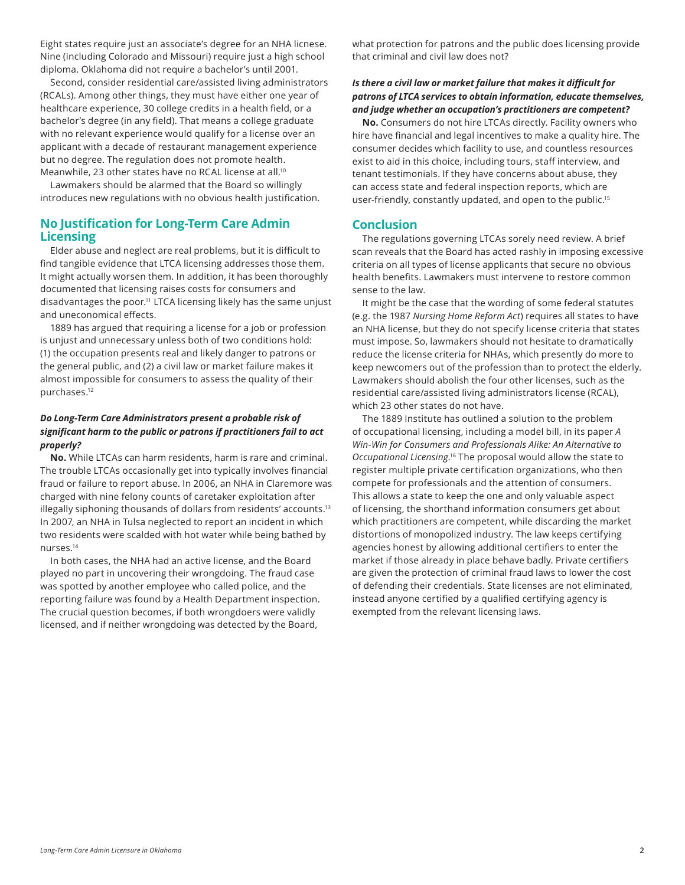<span id="page-1-0"></span>Eight states require just an associate's degree for an NHA licnese. Nine (including Colorado and Missouri) require just a high school diploma. Oklahoma did not require a bachelor's until 2001.

Second, consider residential care/assisted living administrators (RCALs). Among other things, they must have either one year of healthcare experience, 30 college credits in a health field, or a bachelor's degree (in any field). That means a college graduate with no relevant experience would qualify for a license over an applicant with a decade of restaurant management experience but no degree. The regulation does not promote health. Meanwhile, 23 other states have no RCAL license at all[.10](#page-2-0)

Lawmakers should be alarmed that the Board so willingly introduces new regulations with no obvious health justification.

# **No Justification for Long-Term Care Admin Licensing**

Elder abuse and neglect are real problems, but it is difficult to find tangible evidence that LTCA licensing addresses those them. It might actually worsen them. In addition, it has been thoroughly documented that licensing raises costs for consumers and disadvantages the poor.<sup>11</sup> LTCA licensing likely has the same unjust and uneconomical effects.

1889 has argued that requiring a license for a job or profession is unjust and unnecessary unless both of two conditions hold: (1) the occupation presents real and likely danger to patrons or the general public, and (2) a civil law or market failure makes it almost impossible for consumers to assess the quality of their purchases[.12](#page-2-0)

#### *Do Long-Term Care Administrators present a probable risk of significant harm to the public or patrons if practitioners fail to act properly?*

**No.** While LTCAs can harm residents, harm is rare and criminal. The trouble LTCAs occasionally get into typically involves financial fraud or failure to report abuse. In 2006, an NHA in Claremore was charged with nine felony counts of caretaker exploitation after illegally siphoning thousands of dollars from residents' accounts.<sup>13</sup> In 2007, an NHA in Tulsa neglected to report an incident in which two residents were scalded with hot water while being bathed by nurses[.14](#page-2-0)

In both cases, the NHA had an active license, and the Board played no part in uncovering their wrongdoing. The fraud case was spotted by another employee who called police, and the reporting failure was found by a Health Department inspection. The crucial question becomes, if both wrongdoers were validly licensed, and if neither wrongdoing was detected by the Board,

what protection for patrons and the public does licensing provide that criminal and civil law does not?

#### *Is there a civil law or market failure that makes it difficult for patrons of LTCA services to obtain information, educate themselves, and judge whether an occupation's practitioners are competent?*

**No.** Consumers do not hire LTCAs directly. Facility owners who hire have financial and legal incentives to make a quality hire. The consumer decides which facility to use, and countless resources exist to aid in this choice, including tours, staff interview, and tenant testimonials. If they have concerns about abuse, they can access state and federal inspection reports, which are user-friendly, constantly updated, and open to the public[.15](#page-2-0)

# **Conclusion**

The regulations governing LTCAs sorely need review. A brief scan reveals that the Board has acted rashly in imposing excessive criteria on all types of license applicants that secure no obvious health benefits. Lawmakers must intervene to restore common sense to the law.

It might be the case that the wording of some federal statutes (e.g. the 1987 *Nursing Home Reform Act*) requires all states to have an NHA license, but they do not specify license criteria that states must impose. So, lawmakers should not hesitate to dramatically reduce the license criteria for NHAs, which presently do more to keep newcomers out of the profession than to protect the elderly. Lawmakers should abolish the four other licenses, such as the residential care/assisted living administrators license (RCAL), which 23 other states do not have.

The 1889 Institute has outlined a solution to the problem of occupational licensing, including a model bill, in its paper *A Win-Win for Consumers and Professionals Alike: An Alternative to Occupational Licensing*. [16](#page-2-0) The proposal would allow the state to register multiple private certification organizations, who then compete for professionals and the attention of consumers. This allows a state to keep the one and only valuable aspect of licensing, the shorthand information consumers get about which practitioners are competent, while discarding the market distortions of monopolized industry. The law keeps certifying agencies honest by allowing additional certifiers to enter the market if those already in place behave badly. Private certifiers are given the protection of criminal fraud laws to lower the cost of defending their credentials. State licenses are not eliminated, instead anyone certified by a qualified certifying agency is exempted from the relevant licensing laws.